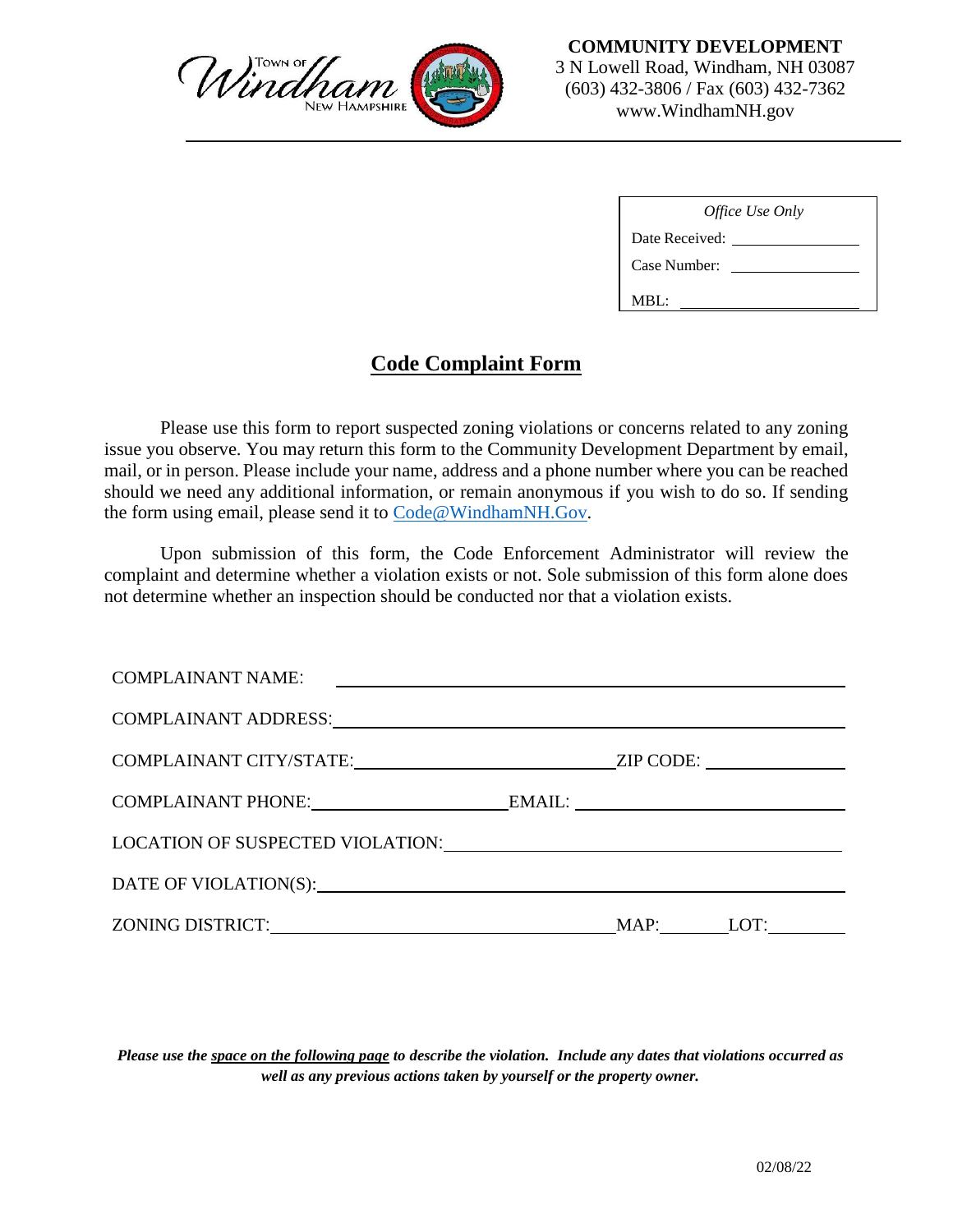

| <i>Office Use Only</i> |  |  |  |  |  |
|------------------------|--|--|--|--|--|
| Date Received:         |  |  |  |  |  |
| Case Number:           |  |  |  |  |  |
| MBL:                   |  |  |  |  |  |

## **Code Complaint Form**

Please use this form to report suspected zoning violations or concerns related to any zoning issue you observe. You may return this form to the Community Development Department by email, mail, or in person. Please include your name, address and a phone number where you can be reached should we need any additional information, or remain anonymous if you wish to do so. If sending the form using email, please send it to Code@WindhamNH.Gov.

Upon submission of this form, the Code Enforcement Administrator will review the complaint and determine whether a violation exists or not. Sole submission of this form alone does not determine whether an inspection should be conducted nor that a violation exists.

| <b>COMPLAINANT NAME:</b><br><u> Alexandria (Alexandria de Alexandria de Alexandria de Alexandria de Alexandria de Alexandria de Alexandria d</u>                                                                               |  |                                |  |
|--------------------------------------------------------------------------------------------------------------------------------------------------------------------------------------------------------------------------------|--|--------------------------------|--|
| COMPLAINANT ADDRESS: University of the company of the contract of the company of the company of the company of the company of the company of the company of the company of the company of the company of the company of the co |  |                                |  |
|                                                                                                                                                                                                                                |  | $ZIP$ CODE: $\_\_\_\_\_\_\_\_$ |  |
| COMPLAINANT PHONE: EMAIL:                                                                                                                                                                                                      |  |                                |  |
| LOCATION OF SUSPECTED VIOLATION: University of the SUSPECTED VIOLATION:                                                                                                                                                        |  |                                |  |
| DATE OF VIOLATION(S): University of the SATE OF VIOLATION(S):                                                                                                                                                                  |  |                                |  |
|                                                                                                                                                                                                                                |  | MAP: LOT:                      |  |

*Please use the space on the following page to describe the violation. Include any dates that violations occurred as well as any previous actions taken by yourself or the property owner.*